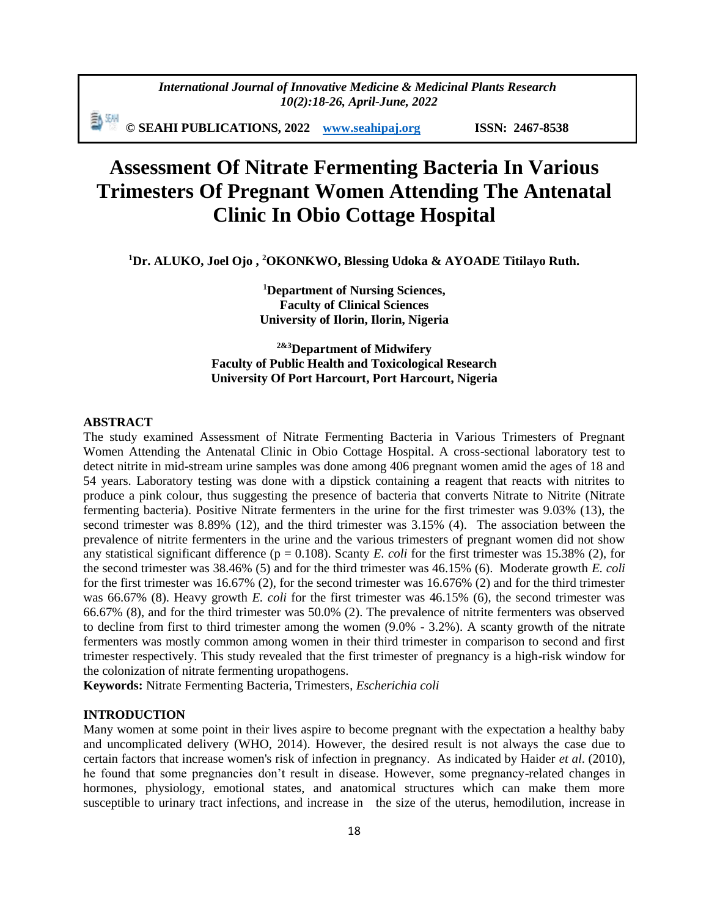*International Journal of Innovative Medicine & Medicinal Plants Research 10(2):18-26, April-June, 2022*

動洲 **© SEAHI PUBLICATIONS, 2022 [www.seahipaj.org](http://www.seahipaj.org/) ISSN: 2467-8538**

# **Assessment Of Nitrate Fermenting Bacteria In Various Trimesters Of Pregnant Women Attending The Antenatal Clinic In Obio Cottage Hospital**

**<sup>1</sup>Dr. ALUKO, Joel Ojo , <sup>2</sup>OKONKWO, Blessing Udoka & AYOADE Titilayo Ruth.**

**<sup>1</sup>Department of Nursing Sciences, Faculty of Clinical Sciences University of Ilorin, Ilorin, Nigeria**

**2&3Department of Midwifery Faculty of Public Health and Toxicological Research University Of Port Harcourt, Port Harcourt, Nigeria**

#### **ABSTRACT**

The study examined Assessment of Nitrate Fermenting Bacteria in Various Trimesters of Pregnant Women Attending the Antenatal Clinic in Obio Cottage Hospital. A cross-sectional laboratory test to detect nitrite in mid-stream urine samples was done among 406 pregnant women amid the ages of 18 and 54 years. Laboratory testing was done with a dipstick containing a reagent that reacts with nitrites to produce a pink colour, thus suggesting the presence of bacteria that converts Nitrate to Nitrite (Nitrate fermenting bacteria). Positive Nitrate fermenters in the urine for the first trimester was 9.03% (13), the second trimester was 8.89% (12), and the third trimester was 3.15% (4). The association between the prevalence of nitrite fermenters in the urine and the various trimesters of pregnant women did not show any statistical significant difference ( $p = 0.108$ ). Scanty *E. coli* for the first trimester was 15.38% (2), for the second trimester was 38.46% (5) and for the third trimester was 46.15% (6). Moderate growth *E. coli* for the first trimester was 16.67% (2), for the second trimester was 16.676% (2) and for the third trimester was 66.67% (8). Heavy growth *E. coli* for the first trimester was 46.15% (6), the second trimester was 66.67% (8), and for the third trimester was 50.0% (2). The prevalence of nitrite fermenters was observed to decline from first to third trimester among the women (9.0% - 3.2%). A scanty growth of the nitrate fermenters was mostly common among women in their third trimester in comparison to second and first trimester respectively. This study revealed that the first trimester of pregnancy is a high-risk window for the colonization of nitrate fermenting uropathogens.

**Keywords:** Nitrate Fermenting Bacteria, Trimesters, *Escherichia coli*

#### **INTRODUCTION**

Many women at some point in their lives aspire to become pregnant with the expectation a healthy baby and uncomplicated delivery (WHO, 2014). However, the desired result is not always the case due to certain factors that increase women's risk of infection in pregnancy. As indicated by Haider *et al*. (2010), he found that some pregnancies don't result in disease. However, some pregnancy-related changes in hormones, physiology, emotional states, and anatomical structures which can make them more susceptible to urinary tract infections, and increase in the size of the uterus, hemodilution, increase in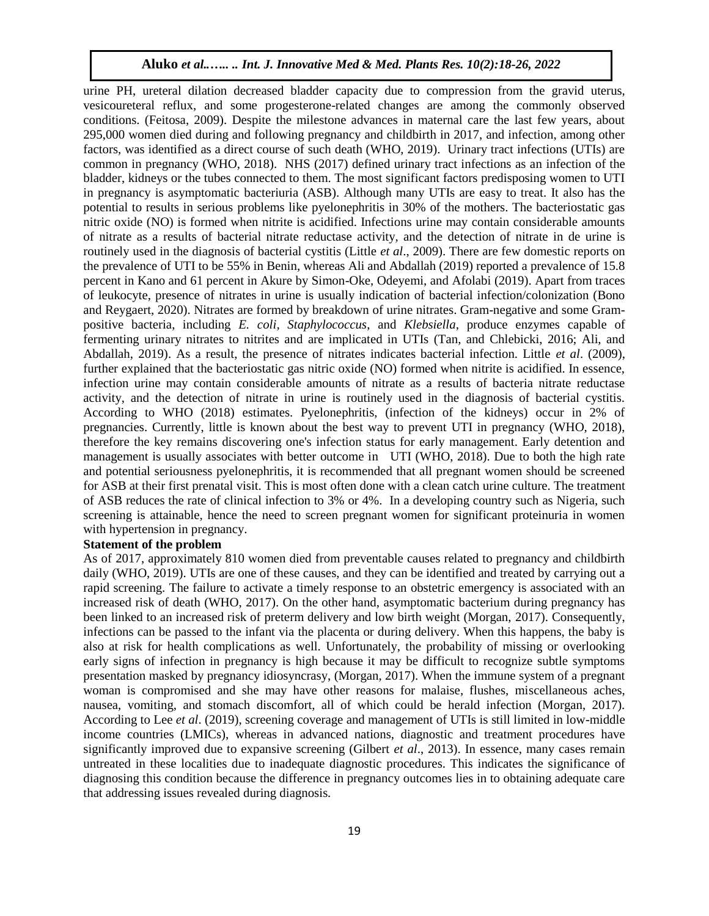urine PH, ureteral dilation decreased bladder capacity due to compression from the gravid uterus, vesicoureteral reflux, and some progesterone-related changes are among the commonly observed conditions. (Feitosa, 2009). Despite the milestone advances in maternal care the last few years, about 295,000 women died during and following pregnancy and childbirth in 2017, and infection, among other factors, was identified as a direct course of such death (WHO, 2019). Urinary tract infections (UTIs) are common in pregnancy (WHO, 2018). NHS (2017) defined urinary tract infections as an infection of the bladder, kidneys or the tubes connected to them. The most significant factors predisposing women to UTI in pregnancy is asymptomatic bacteriuria (ASB). Although many UTIs are easy to treat. It also has the potential to results in serious problems like pyelonephritis in 30% of the mothers. The bacteriostatic gas nitric oxide (NO) is formed when nitrite is acidified. Infections urine may contain considerable amounts of nitrate as a results of bacterial nitrate reductase activity, and the detection of nitrate in de urine is routinely used in the diagnosis of bacterial cystitis (Little *et al*., 2009). There are few domestic reports on the prevalence of UTI to be 55% in Benin, whereas Ali and Abdallah (2019) reported a prevalence of 15.8 percent in Kano and 61 percent in Akure by Simon-Oke, Odeyemi, and Afolabi (2019). Apart from traces of leukocyte, presence of nitrates in urine is usually indication of bacterial infection/colonization (Bono and Reygaert, 2020). Nitrates are formed by breakdown of urine nitrates. Gram-negative and some Grampositive bacteria, including *E. coli, Staphylococcus*, and *Klebsiella*, produce enzymes capable of fermenting urinary nitrates to nitrites and are implicated in UTIs (Tan, and Chlebicki, 2016; Ali, and Abdallah, 2019). As a result, the presence of nitrates indicates bacterial infection. Little *et al*. (2009), further explained that the bacteriostatic gas nitric oxide (NO) formed when nitrite is acidified. In essence, infection urine may contain considerable amounts of nitrate as a results of bacteria nitrate reductase activity, and the detection of nitrate in urine is routinely used in the diagnosis of bacterial cystitis. According to WHO (2018) estimates. Pyelonephritis, (infection of the kidneys) occur in 2% of pregnancies. Currently, little is known about the best way to prevent UTI in pregnancy (WHO, 2018), therefore the key remains discovering one's infection status for early management. Early detention and management is usually associates with better outcome in UTI (WHO, 2018). Due to both the high rate and potential seriousness pyelonephritis, it is recommended that all pregnant women should be screened for ASB at their first prenatal visit. This is most often done with a clean catch urine culture. The treatment of ASB reduces the rate of clinical infection to 3% or 4%. In a developing country such as Nigeria, such screening is attainable, hence the need to screen pregnant women for significant proteinuria in women with hypertension in pregnancy.

# **Statement of the problem**

As of 2017, approximately 810 women died from preventable causes related to pregnancy and childbirth daily (WHO, 2019). UTIs are one of these causes, and they can be identified and treated by carrying out a rapid screening. The failure to activate a timely response to an obstetric emergency is associated with an increased risk of death (WHO, 2017). On the other hand, asymptomatic bacterium during pregnancy has been linked to an increased risk of preterm delivery and low birth weight (Morgan, 2017). Consequently, infections can be passed to the infant via the placenta or during delivery. When this happens, the baby is also at risk for health complications as well. Unfortunately, the probability of missing or overlooking early signs of infection in pregnancy is high because it may be difficult to recognize subtle symptoms presentation masked by pregnancy idiosyncrasy, (Morgan, 2017). When the immune system of a pregnant woman is compromised and she may have other reasons for malaise, flushes, miscellaneous aches, nausea, vomiting, and stomach discomfort, all of which could be herald infection (Morgan, 2017). According to Lee *et al*. (2019), screening coverage and management of UTIs is still limited in low-middle income countries (LMICs), whereas in advanced nations, diagnostic and treatment procedures have significantly improved due to expansive screening (Gilbert *et al*., 2013). In essence, many cases remain untreated in these localities due to inadequate diagnostic procedures. This indicates the significance of diagnosing this condition because the difference in pregnancy outcomes lies in to obtaining adequate care that addressing issues revealed during diagnosis.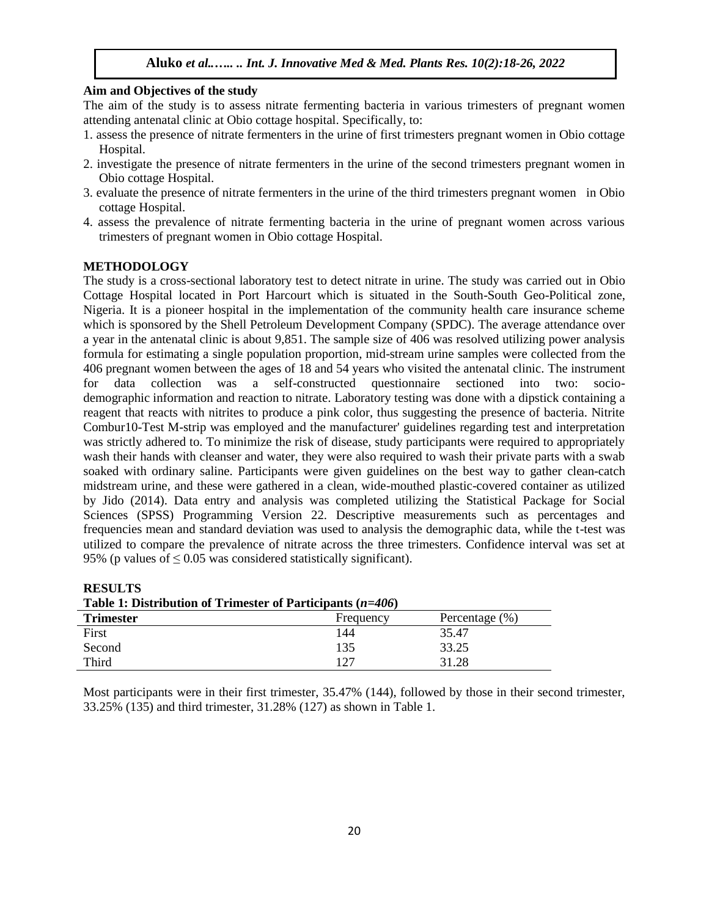#### **Aim and Objectives of the study**

The aim of the study is to assess nitrate fermenting bacteria in various trimesters of pregnant women attending antenatal clinic at Obio cottage hospital. Specifically, to:

- 1. assess the presence of nitrate fermenters in the urine of first trimesters pregnant women in Obio cottage Hospital.
- 2. investigate the presence of nitrate fermenters in the urine of the second trimesters pregnant women in Obio cottage Hospital.
- 3. evaluate the presence of nitrate fermenters in the urine of the third trimesters pregnant women in Obio cottage Hospital.
- 4. assess the prevalence of nitrate fermenting bacteria in the urine of pregnant women across various trimesters of pregnant women in Obio cottage Hospital.

## **METHODOLOGY**

The study is a cross-sectional laboratory test to detect nitrate in urine. The study was carried out in Obio Cottage Hospital located in Port Harcourt which is situated in the South-South Geo-Political zone, Nigeria. It is a pioneer hospital in the implementation of the community health care insurance scheme which is sponsored by the Shell Petroleum Development Company (SPDC). The average attendance over a year in the antenatal clinic is about 9,851. The sample size of 406 was resolved utilizing power analysis formula for estimating a single population proportion, mid-stream urine samples were collected from the 406 pregnant women between the ages of 18 and 54 years who visited the antenatal clinic. The instrument for data collection was a self-constructed questionnaire sectioned into two: sociodemographic information and reaction to nitrate. Laboratory testing was done with a dipstick containing a reagent that reacts with nitrites to produce a pink color, thus suggesting the presence of bacteria. Nitrite Combur10-Test M-strip was employed and the manufacturer' guidelines regarding test and interpretation was strictly adhered to. To minimize the risk of disease, study participants were required to appropriately wash their hands with cleanser and water, they were also required to wash their private parts with a swab soaked with ordinary saline. Participants were given guidelines on the best way to gather clean-catch midstream urine, and these were gathered in a clean, wide-mouthed plastic-covered container as utilized by Jido (2014). Data entry and analysis was completed utilizing the Statistical Package for Social Sciences (SPSS) Programming Version 22. Descriptive measurements such as percentages and frequencies mean and standard deviation was used to analysis the demographic data, while the t-test was utilized to compare the prevalence of nitrate across the three trimesters. Confidence interval was set at 95% (p values of  $\leq$  0.05 was considered statistically significant).

**RESULTS**

| Table 1: Distribution of Trimester of Participants $(n=406)$ |           |                   |  |  |  |
|--------------------------------------------------------------|-----------|-------------------|--|--|--|
| <b>Trimester</b>                                             | Frequency | Percentage $(\%)$ |  |  |  |
| First                                                        | 144       | 35.47             |  |  |  |
| Second                                                       | 135       | 33.25             |  |  |  |
| <b>Third</b>                                                 | 127       | 31 28             |  |  |  |

Most participants were in their first trimester, 35.47% (144), followed by those in their second trimester, 33.25% (135) and third trimester, 31.28% (127) as shown in Table 1.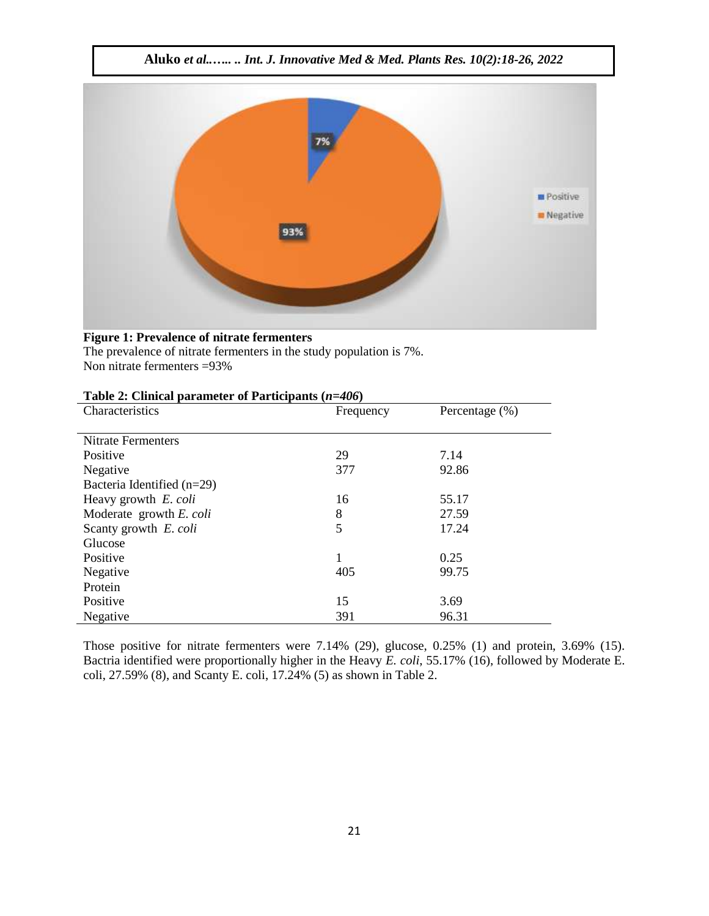

# **Figure 1: Prevalence of nitrate fermenters**

The prevalence of nitrate fermenters in the study population is 7%. Non nitrate fermenters =93%

|  | Table 2: Clinical parameter of Participants $(n=406)$ |
|--|-------------------------------------------------------|
|--|-------------------------------------------------------|

| Characteristics              | Frequency    | Percentage $(\%)$ |  |
|------------------------------|--------------|-------------------|--|
|                              |              |                   |  |
| Nitrate Fermenters           |              |                   |  |
| Positive                     | 29           | 7.14              |  |
| Negative                     | 377<br>92.86 |                   |  |
| Bacteria Identified $(n=29)$ |              |                   |  |
| Heavy growth E. coli         | 16           | 55.17             |  |
| Moderate growth E. coli      | 8            | 27.59             |  |
| Scanty growth E. coli        | 5            | 17.24             |  |
| Glucose                      |              |                   |  |
| Positive                     | 1            | 0.25              |  |
| Negative                     | 405          | 99.75             |  |
| Protein                      |              |                   |  |
| Positive                     | 15           | 3.69              |  |
| Negative                     | 391          | 96.31             |  |

Those positive for nitrate fermenters were 7.14% (29), glucose, 0.25% (1) and protein, 3.69% (15). Bactria identified were proportionally higher in the Heavy *E. coli*, 55.17% (16), followed by Moderate E. coli, 27.59% (8), and Scanty E. coli, 17.24% (5) as shown in Table 2.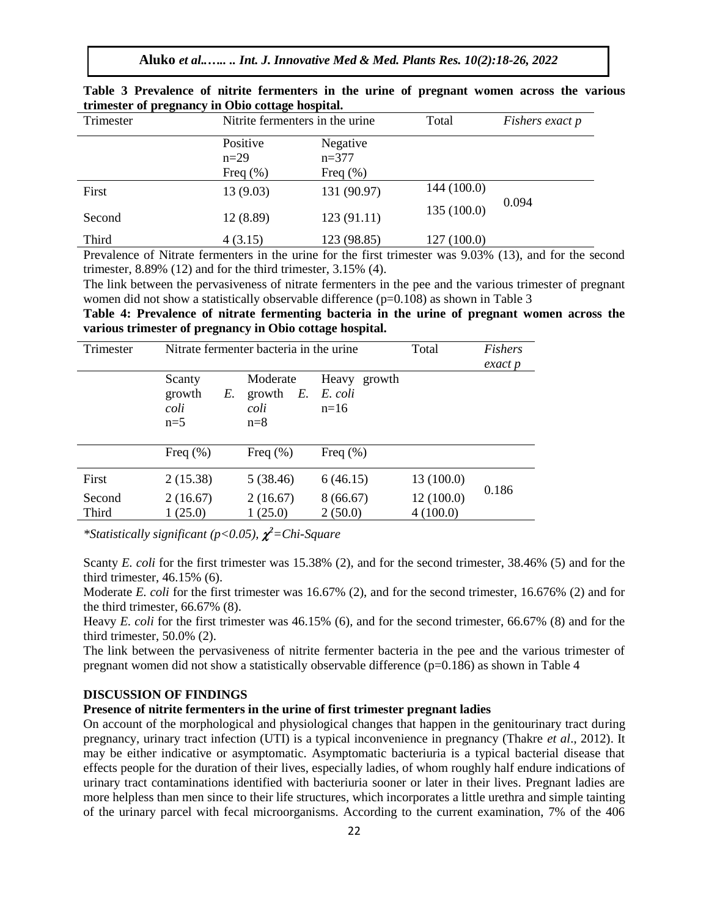**Aluko** *et al..….. .. Int. J. Innovative Med & Med. Plants Res. 10(2):18-26, 2022*

| Trimester | Nitrite fermenters in the urine.   |                                     | Total       | Fishers exact p |  |
|-----------|------------------------------------|-------------------------------------|-------------|-----------------|--|
|           | Positive<br>$n=29$<br>Freq $(\% )$ | Negative<br>$n=377$<br>Freq $(\% )$ |             |                 |  |
| First     | 13(9.03)                           | 131 (90.97)                         | 144 (100.0) |                 |  |
| Second    | 12(8.89)                           | 123(91.11)                          | 135 (100.0) | 0.094           |  |
| Third     | 4(3.15)                            | 123 (98.85)                         | 127 (100.0) |                 |  |

| Table 3 Prevalence of nitrite fermenters in the urine of pregnant women across the various |  |  |  |  |  |
|--------------------------------------------------------------------------------------------|--|--|--|--|--|
| trimester of pregnancy in Obio cottage hospital.                                           |  |  |  |  |  |

Prevalence of Nitrate fermenters in the urine for the first trimester was 9.03% (13), and for the second trimester,  $8.89\%$  (12) and for the third trimester,  $3.15\%$  (4).

The link between the pervasiveness of nitrate fermenters in the pee and the various trimester of pregnant women did not show a statistically observable difference  $(p=0.108)$  as shown in Table 3

**Table 4: Prevalence of nitrate fermenting bacteria in the urine of pregnant women across the various trimester of pregnancy in Obio cottage hospital.**

| Trimester       | Nitrate fermenter bacteria in the urine | Total                                        | <b>Fishers</b><br>exact p            |                       |       |  |
|-----------------|-----------------------------------------|----------------------------------------------|--------------------------------------|-----------------------|-------|--|
|                 | Scanty<br>growth<br>E.<br>coli<br>$n=5$ | Moderate<br>$E$ .<br>growth<br>coli<br>$n=8$ | Heavy<br>growth<br>E. coli<br>$n=16$ |                       |       |  |
|                 | Freq $(\% )$                            | Freq $(\% )$                                 | Freq $(\% )$                         |                       |       |  |
| First           | 2(15.38)                                | 5(38.46)                                     | 6(46.15)                             | 13(100.0)             |       |  |
| Second<br>Third | 2(16.67)<br>1(25.0)                     | 2(16.67)<br>1(25.0)                          | 8(66.67)<br>2(50.0)                  | 12(100.0)<br>4(100.0) | 0.186 |  |

*\*Statistically significant (p<0.05), <sup>2</sup>=Chi-Square* 

Scanty *E. coli* for the first trimester was 15.38% (2), and for the second trimester, 38.46% (5) and for the third trimester, 46.15% (6).

Moderate *E. coli* for the first trimester was 16.67% (2), and for the second trimester, 16.676% (2) and for the third trimester, 66.67% (8).

Heavy *E. coli* for the first trimester was 46.15% (6), and for the second trimester, 66.67% (8) and for the third trimester, 50.0% (2).

The link between the pervasiveness of nitrite fermenter bacteria in the pee and the various trimester of pregnant women did not show a statistically observable difference  $(p=0.186)$  as shown in Table 4

## **DISCUSSION OF FINDINGS**

## **Presence of nitrite fermenters in the urine of first trimester pregnant ladies**

On account of the morphological and physiological changes that happen in the genitourinary tract during pregnancy, urinary tract infection (UTI) is a typical inconvenience in pregnancy (Thakre *et al*., 2012). It may be either indicative or asymptomatic. Asymptomatic bacteriuria is a typical bacterial disease that effects people for the duration of their lives, especially ladies, of whom roughly half endure indications of urinary tract contaminations identified with bacteriuria sooner or later in their lives. Pregnant ladies are more helpless than men since to their life structures, which incorporates a little urethra and simple tainting of the urinary parcel with fecal microorganisms. According to the current examination, 7% of the 406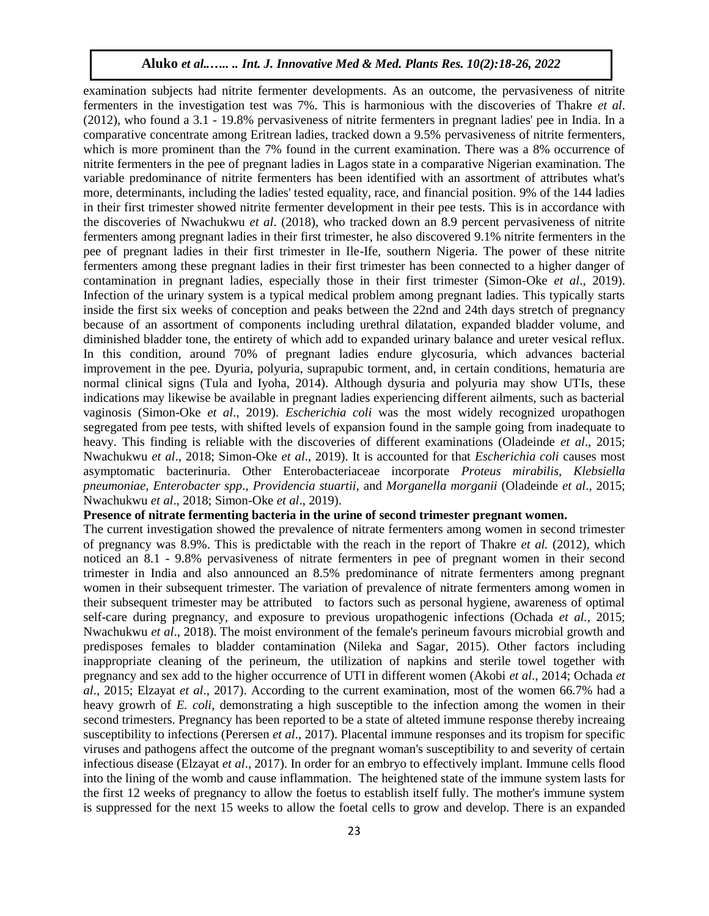examination subjects had nitrite fermenter developments. As an outcome, the pervasiveness of nitrite fermenters in the investigation test was 7%. This is harmonious with the discoveries of Thakre *et al*. (2012), who found a 3.1 - 19.8% pervasiveness of nitrite fermenters in pregnant ladies' pee in India. In a comparative concentrate among Eritrean ladies, tracked down a 9.5% pervasiveness of nitrite fermenters, which is more prominent than the 7% found in the current examination. There was a 8% occurrence of nitrite fermenters in the pee of pregnant ladies in Lagos state in a comparative Nigerian examination. The variable predominance of nitrite fermenters has been identified with an assortment of attributes what's more, determinants, including the ladies' tested equality, race, and financial position. 9% of the 144 ladies in their first trimester showed nitrite fermenter development in their pee tests. This is in accordance with the discoveries of Nwachukwu *et al*. (2018), who tracked down an 8.9 percent pervasiveness of nitrite fermenters among pregnant ladies in their first trimester, he also discovered 9.1% nitrite fermenters in the pee of pregnant ladies in their first trimester in Ile-Ife, southern Nigeria. The power of these nitrite fermenters among these pregnant ladies in their first trimester has been connected to a higher danger of contamination in pregnant ladies, especially those in their first trimester (Simon-Oke *et al*., 2019). Infection of the urinary system is a typical medical problem among pregnant ladies. This typically starts inside the first six weeks of conception and peaks between the 22nd and 24th days stretch of pregnancy because of an assortment of components including urethral dilatation, expanded bladder volume, and diminished bladder tone, the entirety of which add to expanded urinary balance and ureter vesical reflux. In this condition, around 70% of pregnant ladies endure glycosuria, which advances bacterial improvement in the pee. Dyuria, polyuria, suprapubic torment, and, in certain conditions, hematuria are normal clinical signs (Tula and Iyoha, 2014). Although dysuria and polyuria may show UTIs, these indications may likewise be available in pregnant ladies experiencing different ailments, such as bacterial vaginosis (Simon-Oke *et al*., 2019). *Escherichia coli* was the most widely recognized uropathogen segregated from pee tests, with shifted levels of expansion found in the sample going from inadequate to heavy. This finding is reliable with the discoveries of different examinations (Oladeinde *et al*., 2015; Nwachukwu *et al*., 2018; Simon-Oke *et al*., 2019). It is accounted for that *Escherichia coli* causes most asymptomatic bacterinuria. Other Enterobacteriaceae incorporate *Proteus mirabilis, Klebsiella pneumoniae, Enterobacter spp*., *Providencia stuartii*, and *Morganella morganii* (Oladeinde *et al*., 2015; Nwachukwu *et al*., 2018; Simon-Oke *et al*., 2019).

# **Presence of nitrate fermenting bacteria in the urine of second trimester pregnant women.**

The current investigation showed the prevalence of nitrate fermenters among women in second trimester of pregnancy was 8.9%. This is predictable with the reach in the report of Thakre *et al.* (2012), which noticed an 8.1 - 9.8% pervasiveness of nitrate fermenters in pee of pregnant women in their second trimester in India and also announced an 8.5% predominance of nitrate fermenters among pregnant women in their subsequent trimester. The variation of prevalence of nitrate fermenters among women in their subsequent trimester may be attributed to factors such as personal hygiene, awareness of optimal self-care during pregnancy, and exposure to previous uropathogenic infections (Ochada *et al.,* 2015; Nwachukwu *et al*., 2018). The moist environment of the female's perineum favours microbial growth and predisposes females to bladder contamination (Nileka and Sagar, 2015). Other factors including inappropriate cleaning of the perineum, the utilization of napkins and sterile towel together with pregnancy and sex add to the higher occurrence of UTI in different women (Akobi *et al*., 2014; Ochada *et al*., 2015; Elzayat *et al*., 2017). According to the current examination, most of the women 66.7% had a heavy growrh of *E. coli*, demonstrating a high susceptible to the infection among the women in their second trimesters. Pregnancy has been reported to be a state of alteted immune response thereby increaing susceptibility to infections (Perersen *et al*., 2017). Placental immune responses and its tropism for specific viruses and pathogens affect the outcome of the pregnant woman's susceptibility to and severity of certain infectious disease (Elzayat *et al*., 2017). In order for an embryo to effectively implant. Immune cells flood into the lining of the womb and cause inflammation. The heightened state of the immune system lasts for the first 12 weeks of pregnancy to allow the foetus to establish itself fully. The mother's immune system is suppressed for the next 15 weeks to allow the foetal cells to grow and develop. There is an expanded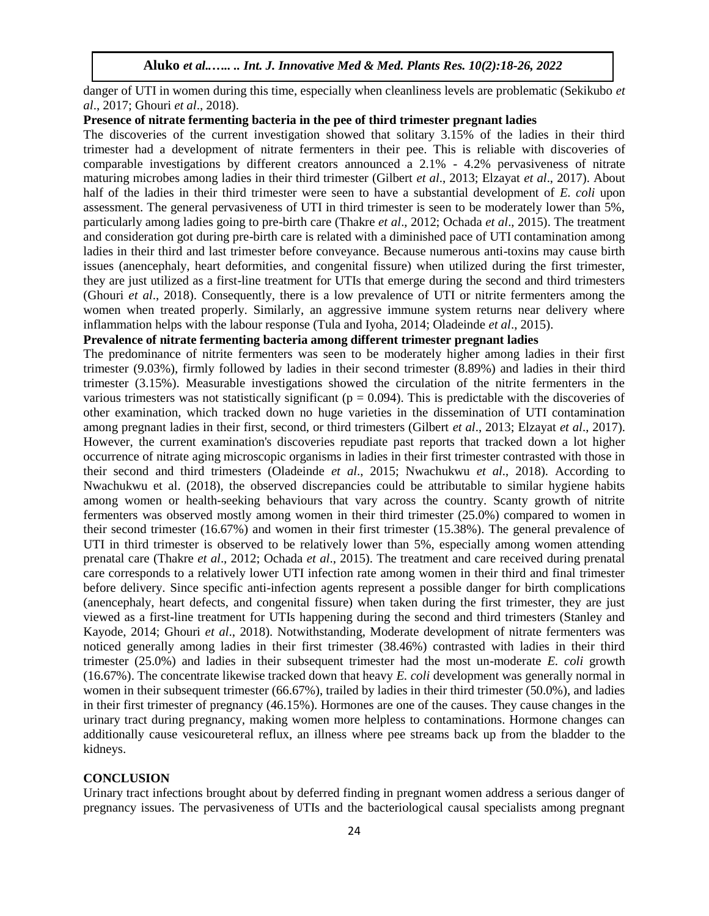danger of UTI in women during this time, especially when cleanliness levels are problematic (Sekikubo *et al*., 2017; Ghouri *et al*., 2018).

#### **Presence of nitrate fermenting bacteria in the pee of third trimester pregnant ladies**

The discoveries of the current investigation showed that solitary 3.15% of the ladies in their third trimester had a development of nitrate fermenters in their pee. This is reliable with discoveries of comparable investigations by different creators announced a 2.1% - 4.2% pervasiveness of nitrate maturing microbes among ladies in their third trimester (Gilbert *et al*., 2013; Elzayat *et al*., 2017). About half of the ladies in their third trimester were seen to have a substantial development of *E. coli* upon assessment. The general pervasiveness of UTI in third trimester is seen to be moderately lower than 5%, particularly among ladies going to pre-birth care (Thakre *et al*., 2012; Ochada *et al*., 2015). The treatment and consideration got during pre-birth care is related with a diminished pace of UTI contamination among ladies in their third and last trimester before conveyance. Because numerous anti-toxins may cause birth issues (anencephaly, heart deformities, and congenital fissure) when utilized during the first trimester, they are just utilized as a first-line treatment for UTIs that emerge during the second and third trimesters (Ghouri *et al*., 2018). Consequently, there is a low prevalence of UTI or nitrite fermenters among the women when treated properly. Similarly, an aggressive immune system returns near delivery where inflammation helps with the labour response (Tula and Iyoha, 2014; Oladeinde *et al*., 2015).

## **Prevalence of nitrate fermenting bacteria among different trimester pregnant ladies**

The predominance of nitrite fermenters was seen to be moderately higher among ladies in their first trimester (9.03%), firmly followed by ladies in their second trimester (8.89%) and ladies in their third trimester (3.15%). Measurable investigations showed the circulation of the nitrite fermenters in the various trimesters was not statistically significant ( $p = 0.094$ ). This is predictable with the discoveries of other examination, which tracked down no huge varieties in the dissemination of UTI contamination among pregnant ladies in their first, second, or third trimesters (Gilbert *et al*., 2013; Elzayat *et al*., 2017). However, the current examination's discoveries repudiate past reports that tracked down a lot higher occurrence of nitrate aging microscopic organisms in ladies in their first trimester contrasted with those in their second and third trimesters (Oladeinde *et al*., 2015; Nwachukwu *et al*., 2018). According to Nwachukwu et al. (2018), the observed discrepancies could be attributable to similar hygiene habits among women or health-seeking behaviours that vary across the country. Scanty growth of nitrite fermenters was observed mostly among women in their third trimester (25.0%) compared to women in their second trimester (16.67%) and women in their first trimester (15.38%). The general prevalence of UTI in third trimester is observed to be relatively lower than 5%, especially among women attending prenatal care (Thakre *et al*., 2012; Ochada *et al*., 2015). The treatment and care received during prenatal care corresponds to a relatively lower UTI infection rate among women in their third and final trimester before delivery. Since specific anti-infection agents represent a possible danger for birth complications (anencephaly, heart defects, and congenital fissure) when taken during the first trimester, they are just viewed as a first-line treatment for UTIs happening during the second and third trimesters (Stanley and Kayode, 2014; Ghouri *et al*., 2018). Notwithstanding, Moderate development of nitrate fermenters was noticed generally among ladies in their first trimester (38.46%) contrasted with ladies in their third trimester (25.0%) and ladies in their subsequent trimester had the most un-moderate *E. coli* growth (16.67%). The concentrate likewise tracked down that heavy *E. coli* development was generally normal in women in their subsequent trimester (66.67%), trailed by ladies in their third trimester (50.0%), and ladies in their first trimester of pregnancy (46.15%). Hormones are one of the causes. They cause changes in the urinary tract during pregnancy, making women more helpless to contaminations. Hormone changes can additionally cause vesicoureteral reflux, an illness where pee streams back up from the bladder to the kidneys.

#### **CONCLUSION**

Urinary tract infections brought about by deferred finding in pregnant women address a serious danger of pregnancy issues. The pervasiveness of UTIs and the bacteriological causal specialists among pregnant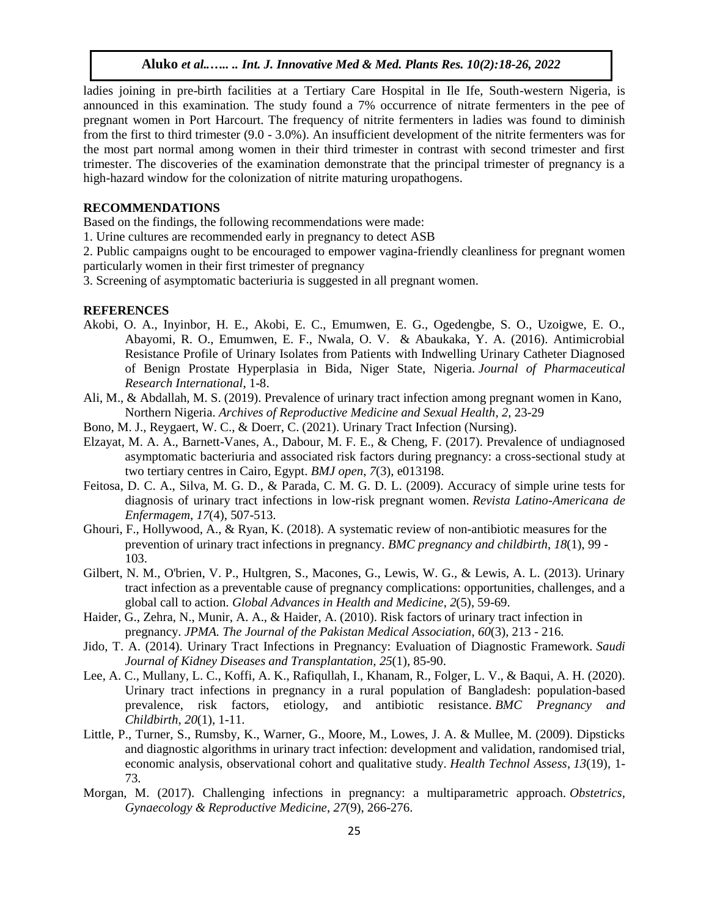ladies joining in pre-birth facilities at a Tertiary Care Hospital in Ile Ife, South-western Nigeria, is announced in this examination. The study found a 7% occurrence of nitrate fermenters in the pee of pregnant women in Port Harcourt. The frequency of nitrite fermenters in ladies was found to diminish from the first to third trimester (9.0 - 3.0%). An insufficient development of the nitrite fermenters was for the most part normal among women in their third trimester in contrast with second trimester and first trimester. The discoveries of the examination demonstrate that the principal trimester of pregnancy is a high-hazard window for the colonization of nitrite maturing uropathogens.

#### **RECOMMENDATIONS**

Based on the findings, the following recommendations were made:

- 1. Urine cultures are recommended early in pregnancy to detect ASB
- 2. Public campaigns ought to be encouraged to empower vagina-friendly cleanliness for pregnant women particularly women in their first trimester of pregnancy
- 3. Screening of asymptomatic bacteriuria is suggested in all pregnant women.

## **REFERENCES**

- Akobi, O. A., Inyinbor, H. E., Akobi, E. C., Emumwen, E. G., Ogedengbe, S. O., Uzoigwe, E. O., Abayomi, R. O., Emumwen, E. F., Nwala, O. V. & Abaukaka, Y. A. (2016). Antimicrobial Resistance Profile of Urinary Isolates from Patients with Indwelling Urinary Catheter Diagnosed of Benign Prostate Hyperplasia in Bida, Niger State, Nigeria. *Journal of Pharmaceutical Research International*, 1-8.
- Ali, M., & Abdallah, M. S. (2019). Prevalence of urinary tract infection among pregnant women in Kano, Northern Nigeria. *Archives of Reproductive Medicine and Sexual Health*, *2*, 23-29
- Bono, M. J., Reygaert, W. C., & Doerr, C. (2021). Urinary Tract Infection (Nursing).
- Elzayat, M. A. A., Barnett-Vanes, A., Dabour, M. F. E., & Cheng, F. (2017). Prevalence of undiagnosed asymptomatic bacteriuria and associated risk factors during pregnancy: a cross-sectional study at two tertiary centres in Cairo, Egypt. *BMJ open*, *7*(3), e013198.
- Feitosa, D. C. A., Silva, M. G. D., & Parada, C. M. G. D. L. (2009). Accuracy of simple urine tests for diagnosis of urinary tract infections in low-risk pregnant women. *Revista Latino-Americana de Enfermagem*, *17*(4), 507-513.
- Ghouri, F., Hollywood, A., & Ryan, K. (2018). A systematic review of non-antibiotic measures for the prevention of urinary tract infections in pregnancy. *BMC pregnancy and childbirth*, *18*(1), 99 - 103.
- Gilbert, N. M., O'brien, V. P., Hultgren, S., Macones, G., Lewis, W. G., & Lewis, A. L. (2013). Urinary tract infection as a preventable cause of pregnancy complications: opportunities, challenges, and a global call to action. *Global Advances in Health and Medicine*, *2*(5), 59-69.
- Haider, G., Zehra, N., Munir, A. A., & Haider, A. (2010). Risk factors of urinary tract infection in pregnancy. *JPMA. The Journal of the Pakistan Medical Association*, *60*(3), 213 - 216.
- Jido, T. A. (2014). Urinary Tract Infections in Pregnancy: Evaluation of Diagnostic Framework. *Saudi Journal of Kidney Diseases and Transplantation, 25*(1), 85-90.
- Lee, A. C., Mullany, L. C., Koffi, A. K., Rafiqullah, I., Khanam, R., Folger, L. V., & Baqui, A. H. (2020). Urinary tract infections in pregnancy in a rural population of Bangladesh: population-based prevalence, risk factors, etiology, and antibiotic resistance. *BMC Pregnancy and Childbirth*, *20*(1), 1-11.
- Little, P., Turner, S., Rumsby, K., Warner, G., Moore, M., Lowes, J. A. & Mullee, M. (2009). Dipsticks and diagnostic algorithms in urinary tract infection: development and validation, randomised trial, economic analysis, observational cohort and qualitative study. *Health Technol Assess*, *13*(19), 1- 73.
- Morgan, M. (2017). Challenging infections in pregnancy: a multiparametric approach. *Obstetrics, Gynaecology & Reproductive Medicine*, *27*(9), 266-276.